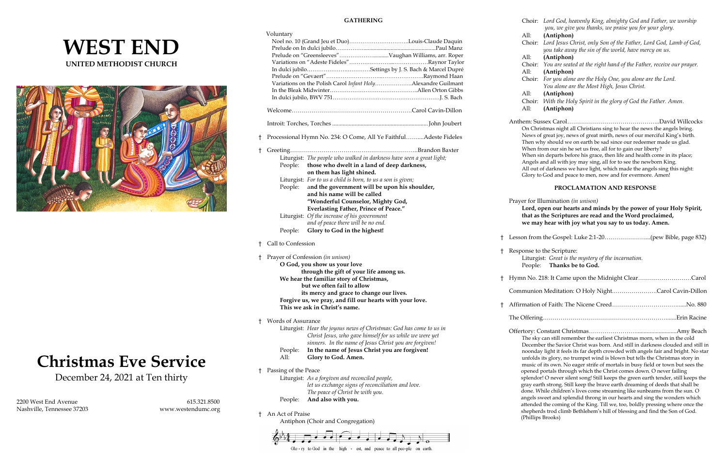# **WEST END UNITED METHODIST CHURCH**



# **Christmas Eve Service**

December 24, 2021 at Ten thirty

2200 West End Avenue 615.321.8500 Nashville, Tennessee 37203 [www.westendumc.org](http://www.westendumc.org/)

### **GATHERING**

|    | Voluntary                            | Noel no. 10 (Grand Jeu et Duo)Louis-Claude Daquin<br>Prelude on "Greensleeves"Vaughan Williams, arr. Roper<br>In dulci jubiloSettings by J. S. Bach & Marcel Dupré<br>Variations on the Polish Carol Infant HolyAlexandre Guilmant                                                                                                                                                                                                            |                  |
|----|--------------------------------------|-----------------------------------------------------------------------------------------------------------------------------------------------------------------------------------------------------------------------------------------------------------------------------------------------------------------------------------------------------------------------------------------------------------------------------------------------|------------------|
|    |                                      |                                                                                                                                                                                                                                                                                                                                                                                                                                               |                  |
| t  |                                      | Processional Hymn No. 234: O Come, All Ye FaithfulAdeste Fideles                                                                                                                                                                                                                                                                                                                                                                              |                  |
| t  | People:                              | Liturgist: The people who walked in darkness have seen a great light;<br>People: those who dwelt in a land of deep darkness,<br>on them has light shined.<br>Liturgist: For to us a child is born, to us a son is given;<br>and the government will be upon his shoulder,<br>and his name will be called<br>"Wonderful Counselor, Mighty God,<br><b>Everlasting Father, Prince of Peace."</b><br>Liturgist: Of the increase of his government |                  |
|    | People:                              | and of peace there will be no end.<br>Glory to God in the highest!                                                                                                                                                                                                                                                                                                                                                                            |                  |
| Ŧ. | Call to Confession                   |                                                                                                                                                                                                                                                                                                                                                                                                                                               | ŧ                |
| t  |                                      | Prayer of Confession (in unison)<br>O God, you show us your love                                                                                                                                                                                                                                                                                                                                                                              | $\ddagger$       |
|    |                                      | through the gift of your life among us.<br>We hear the familiar story of Christmas,<br>but we often fail to allow<br>its mercy and grace to change our lives.<br>Forgive us, we pray, and fill our hearts with your love.<br>This we ask in Christ's name.                                                                                                                                                                                    | $\ddagger$<br>Ť. |
|    |                                      |                                                                                                                                                                                                                                                                                                                                                                                                                                               |                  |
| t  | <b>Words of Assurance</b><br>People: | Liturgist: Hear the joyous news of Christmas: God has come to us in<br>Christ Jesus, who gave himself for us while we were yet<br>sinners. In the name of Jesus Christ you are forgiven!<br>In the name of Jesus Christ you are forgiven!                                                                                                                                                                                                     |                  |
|    | All:                                 | Glory to God. Amen.                                                                                                                                                                                                                                                                                                                                                                                                                           |                  |
| Ⴕ  | Passing of the Peace                 | Liturgist: As a forgiven and reconciled people,<br>let us exchange signs of reconciliation and love.<br>The peace of Christ be with you.                                                                                                                                                                                                                                                                                                      |                  |
|    | People:                              | And also with you.                                                                                                                                                                                                                                                                                                                                                                                                                            |                  |
|    |                                      |                                                                                                                                                                                                                                                                                                                                                                                                                                               |                  |

† An Act of Praise Antiphon (Choir and Congregation)



|      | Choir: Lord God, heavenly King, almighty God and Father, we worship |
|------|---------------------------------------------------------------------|
|      | you, we give you thanks, we praise you for your glory.              |
| All: | (Antiphon)                                                          |

All: **(Antiphon)**

- Choir: *Lord Jesus Christ, only Son of the Father, Lord God, Lamb of God, you take away the sin of the world, have mercy on us.* All: **(Antiphon)**
- Choir: *You are seated at the right hand of the Father, receive our prayer.* All: **(Antiphon)**
- Choir: *For you alone are the Holy One, you alone are the Lord. You alone are the Most High, Jesus Christ.* All: **(Antiphon)**
- Choir: *With the Holy Spirit in the glory of God the Father. Amen.* All: **(Antiphon)**

Anthem: Sussex Carol………………………………………..David Willcocks On Christmas night all Christians sing to hear the news the angels bring. News of great joy, news of great mirth, news of our merciful King's birth. Then why should we on earth be sad since our redeemer made us glad. When from our sin he set us free, all for to gain our liberty? When sin departs before his grace, then life and health come in its place; Angels and all with joy may sing, all for to see the newborn King. All out of darkness we have light, which made the angels sing this night: Glory to God and peace to men, now and for evermore. Amen!

### **PROCLAMATION AND RESPONSE**

Prayer for Illumination *(in unison)*

**Lord, open our hearts and minds by the power of your Holy Spirit, that as the Scriptures are read and the Word proclaimed, we may hear with joy what you say to us today. Amen.**

† Lesson from the Gospel: Luke 2:1-20…………………...(pew Bible, page 832) † Response to the Scripture: Liturgist: *Great is the mystery of the incarnation.* People: **Thanks be to God.**  † Hymn No. 218: It Came upon the Midnight Clear………………………Carol Communion Meditation: O Holy Night.………………….Carol Cavin-Dillon † Affirmation of Faith: The Nicene Creed……………………………......No. 880 The Offering………………………………………………………......Erin Racine Offertory: Constant Christmas……………………...........................Amy Beach The sky can still remember the earliest Christmas morn, when in the cold December the Savior Christ was born. And still in darkness clouded and still in noonday light it feels its far depth crowded with angels fair and bright. No star unfolds its glory, no trumpet wind is blown but tells the Christmas story in music of its own. No eager strife of mortals in busy field or town but sees the opened portals through which the Christ comes down. O never failing splendor! O never silent song! Still keeps the green earth tender, still keeps the gray earth strong. Still keep the brave earth dreaming of deeds that shall be done. While children's lives come streaming like sunbeams from the sun. O angels sweet and splendid throng in our hearts and sing the wonders which attended the coming of the King. Till we, too, boldly pressing where once the shepherds trod climb Bethlehem's hill of blessing and find the Son of God. (Phillips Brooks)